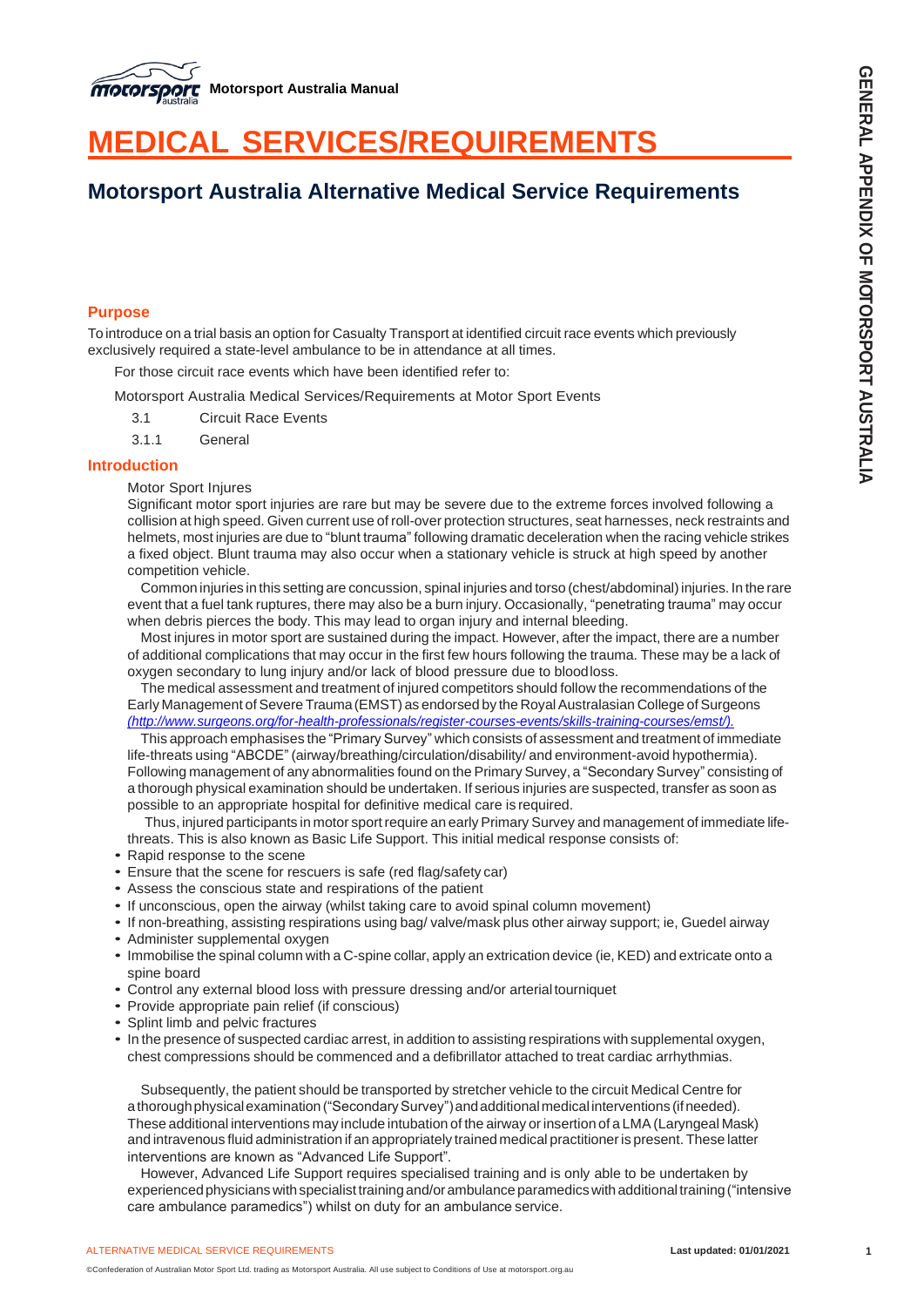

# **MEDICAL SERVICES/REQUIREMENTS**

# **Motorsport Australia Alternative Medical Service Requirements**

### **Purpose**

Tointroduce on a trial basis an option for Casualty Transport at identified circuit race events which previously exclusively required a state-level ambulance to be in attendance at all times.

For those circuit race events which have been identified refer to:

Motorsport Australia Medical Services/Requirements at Motor Sport Events

3.1 Circuit Race Events

3.1.1 General

#### **Introduction**

Motor Sport Injures

Significant motor sport injuries are rare but may be severe due to the extreme forces involved following a collision at high speed. Given current use of roll-over protection structures, seat harnesses, neck restraints and helmets, most injuries are due to "blunt trauma" following dramatic deceleration when the racing vehicle strikes a fixed object. Blunt trauma may also occur when a stationary vehicle is struck at high speed by another competition vehicle.

Common injuries in this setting are concussion, spinal injuries and torso (chest/abdominal)injuries. In the rare event that a fuel tank ruptures, there may also be a burn injury. Occasionally, "penetrating trauma" may occur when debris pierces the body. This may lead to organ injury and internal bleeding.

Most injures in motor sport are sustained during the impact. However, after the impact, there are a number of additional complications that may occur in the first few hours following the trauma. These may be a lack of oxygen secondary to lung injury and/or lack of blood pressure due to bloodloss.

The medical assessment and treatment of injured competitors should follow the recommendations of the Early Management of Severe Trauma (EMST) as endorsed by the Royal Australasian College of Surgeons *[\(http://www.surgeons.org/for-health-professionals/register-courses-events/skills-training-courses/emst/\).](file:///C:/Users/lawries/AppData/Local/Microsoft/Windows/INetCache/Content.Outlook/WZ5IZRKY/(http:/www.surgeons.org/for-health-professionals/register-courses-events/skills-training-courses/emst/))*

This approach emphasises the "Primary Survey" which consists of assessment and treatment of immediate life-threats using "ABCDE" (airway/breathing/circulation/disability/ and environment-avoid hypothermia). Following management of any abnormalities found on the Primary Survey, a "Secondary Survey" consisting of a thorough physical examination should be undertaken. If serious injuries are suspected, transfer as soon as possible to an appropriate hospital for definitive medical care is required.

Thus, injured participants in motor sport require an early Primary Survey and management of immediate lifethreats. This is also known as Basic Life Support. This initial medical response consists of:

- Rapid response to the scene
- Ensure that the scene for rescuers is safe (red flag/safety car)
- Assess the conscious state and respirations of the patient
- If unconscious, open the airway (whilst taking care to avoid spinal column movement)
- If non-breathing, assisting respirations using bag/ valve/mask plus other airway support; ie, Guedel airway
- Administer supplemental oxygen
- Immobilise the spinal column with a C-spine collar, apply an extrication device (ie, KED) and extricate onto a spine board
- Control any external blood loss with pressure dressing and/or arterial tourniquet
- Provide appropriate pain relief (if conscious)
- Splint limb and pelvic fractures
- In the presence of suspected cardiac arrest, in addition to assisting respirations with supplemental oxygen, chest compressions should be commenced and a defibrillator attached to treat cardiac arrhythmias.

Subsequently, the patient should be transported by stretcher vehicle to the circuit Medical Centre for athorough physical examination ("Secondary Survey") and additional medical interventions (if needed). These additional interventions may include intubation of the airway orinsertion of a LMA(Laryngeal Mask) and intravenous fluid administration if an appropriately trained medical practitioneris present. These latter interventions are known as "Advanced Life Support".

However, Advanced Life Support requires specialised training and is only able to be undertaken by experienced physicians with specialist training and/or ambulance paramedics with additional training ("intensive care ambulance paramedics") whilst on duty for an ambulance service.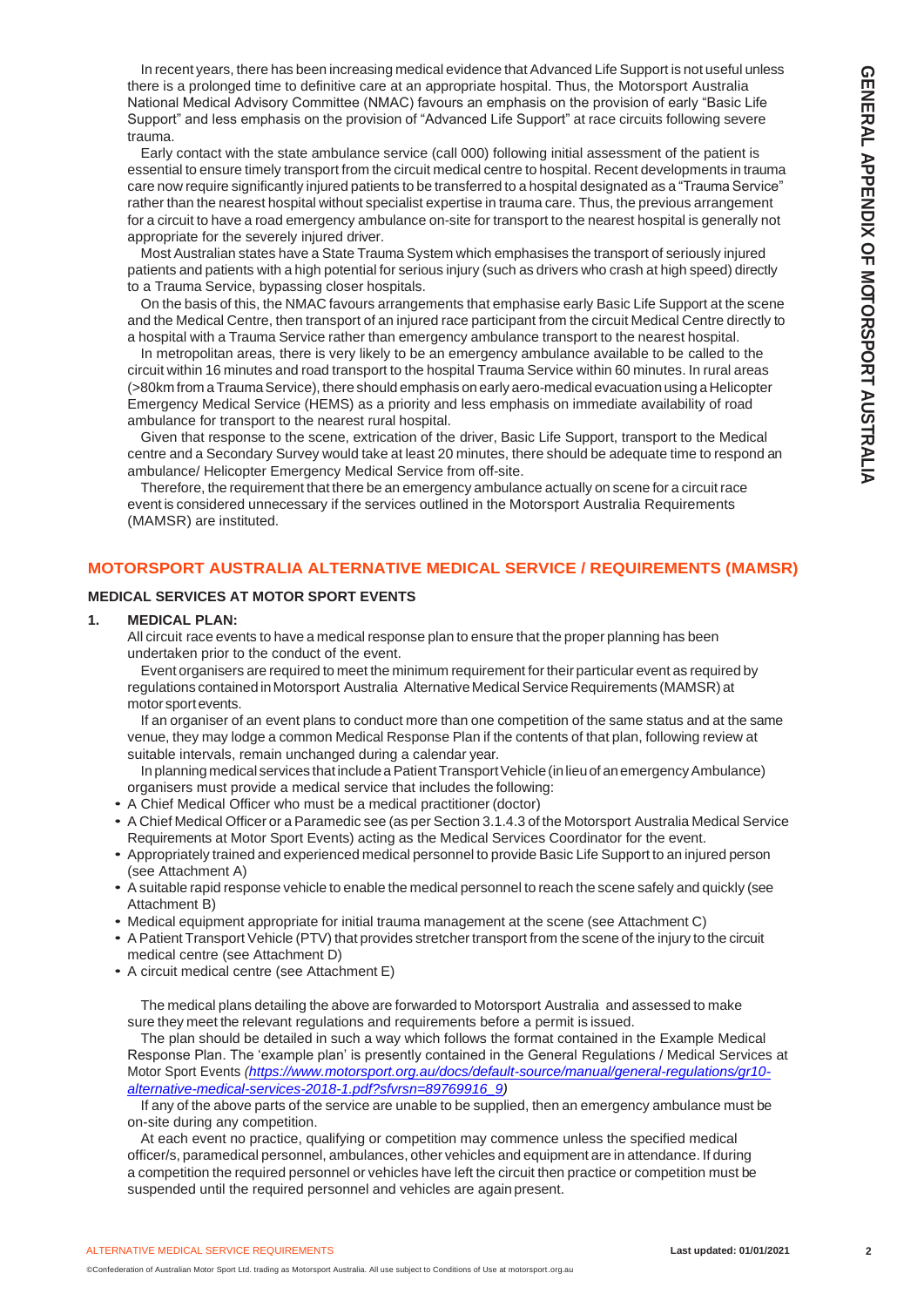In recent years, there has been increasing medical evidence that Advanced Life Support is not useful unless there is a prolonged time to definitive care at an appropriate hospital. Thus, the Motorsport Australia National Medical Advisory Committee (NMAC) favours an emphasis on the provision of early "Basic Life Support" and less emphasis on the provision of "Advanced Life Support" at race circuits following severe trauma.

Early contact with the state ambulance service (call 000) following initial assessment of the patient is essential to ensure timely transport from the circuit medical centre to hospital. Recent developments in trauma care now require significantly injured patients to be transferred to a hospital designated as a "Trauma Service" rather than the nearest hospital without specialist expertise in trauma care. Thus, the previous arrangement for a circuit to have a road emergency ambulance on-site for transport to the nearest hospital is generally not appropriate for the severely injured driver.

Most Australian states have a State Trauma System which emphasises the transport of seriously injured patients and patients with a high potential for serious injury (such as drivers who crash at high speed) directly to a Trauma Service, bypassing closer hospitals.

On the basis of this, the NMAC favours arrangements that emphasise early Basic Life Support at the scene and the Medical Centre, then transport of an injured race participant from the circuit Medical Centre directly to a hospital with a Trauma Service rather than emergency ambulance transport to the nearest hospital.

In metropolitan areas, there is very likely to be an emergency ambulance available to be called to the circuit within 16 minutes and road transport to the hospital Trauma Service within 60 minutes. In rural areas (>80km from aTraumaService), there should emphasis on early aero-medical evacuation using a Helicopter Emergency Medical Service (HEMS) as a priority and less emphasis on immediate availability of road ambulance for transport to the nearest rural hospital.

Given that response to the scene, extrication of the driver, Basic Life Support, transport to the Medical centre and a Secondary Survey would take at least 20 minutes, there should be adequate time to respond an ambulance/ Helicopter Emergency Medical Service from off-site.

Therefore, the requirement that there be an emergency ambulance actually on scene for a circuit race event is considered unnecessary if the services outlined in the Motorsport Australia Requirements (MAMSR) are instituted.

### **MOTORSPORT AUSTRALIA ALTERNATIVE MEDICAL SERVICE / REQUIREMENTS (MAMSR)**

#### **MEDICAL SERVICES AT MOTOR SPORT EVENTS**

#### **1. MEDICAL PLAN:**

All circuit race events to have a medical response plan to ensure that the proper planning has been undertaken prior to the conduct of the event.

Event organisers are required to meet the minimum requirement for their particular event as required by regulations contained in Motorsport Australia Alternative Medical Service Requirements (MAMSR) at motor sport events.

If an organiser of an event plans to conduct more than one competition of the same status and at the same venue, they may lodge a common Medical Response Plan if the contents of that plan, following review at suitable intervals, remain unchanged during a calendar year.

In planning medical services that include a Patient Transport Vehicle (in lieu of an emergency Ambulance) organisers must provide a medical service that includes the following:

- A Chief Medical Officer who must be a medical practitioner (doctor)
- A Chief Medical Officer or a Paramedic see (as per Section 3.1.4.3 of the Motorsport Australia Medical Service Requirements at Motor Sport Events) acting as the Medical Services Coordinator for the event.
- Appropriately trained and experienced medical personnel to provide Basic Life Support to an injured person (see Attachment A)
- A suitable rapid response vehicle to enable the medical personnel to reach the scene safely and quickly (see Attachment B)
- Medical equipment appropriate for initial trauma management at the scene (see Attachment C)
- A Patient Transport Vehicle (PTV) that provides stretcher transport from the scene of the injury to the circuit medical centre (see Attachment D)
- A circuit medical centre (see Attachment E)

The medical plans detailing the above are forwarded to Motorsport Australia and assessed to make sure they meet the relevant regulations and requirements before a permit is issued.

The plan should be detailed in such a way which follows the format contained in the Example Medical Response Plan. The 'example plan' is presently contained in the General Regulations / Medical Services at Motor Sport Events *[\(https://www.motorsport.org.au/docs/default-source/manual/general-regulations/gr10](https://www.motorsport.org.au/docs/default-source/manual/general-regulations/gr10-alternative-medical-services-2018-1.pdf?sfvrsn=89769916_9) [alternative-medical-services-2018-1.pdf?sfvrsn=89769916\\_9\)](https://www.motorsport.org.au/docs/default-source/manual/general-regulations/gr10-alternative-medical-services-2018-1.pdf?sfvrsn=89769916_9)*

If any of the above parts of the service are unable to be supplied, then an emergency ambulance must be on-site during any competition.

At each event no practice, qualifying or competition may commence unless the specified medical officer/s, paramedical personnel, ambulances, other vehicles and equipment are in attendance. If during a competition the required personnel or vehicles have left the circuit then practice or competition must be suspended until the required personnel and vehicles are again present.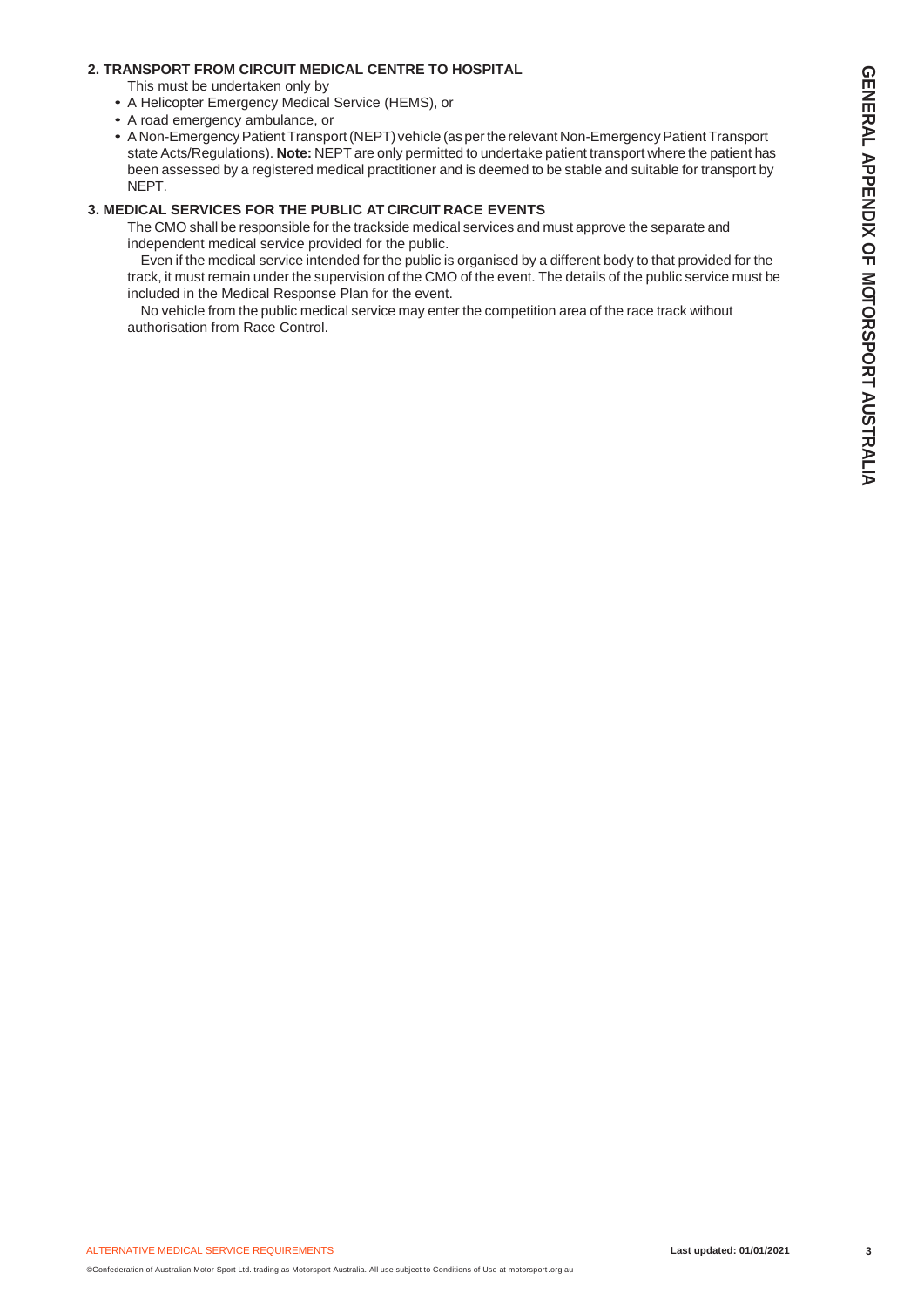### **2. TRANSPORT FROM CIRCUIT MEDICAL CENTRE TO HOSPITAL**

This must be undertaken only by

- A Helicopter Emergency Medical Service (HEMS), or
- A road emergency ambulance, or
- A Non-Emergency Patient Transport (NEPT) vehicle (as per the relevant Non-Emergency Patient Transport state Acts/Regulations). **Note:** NEPT are only permitted to undertake patient transport where the patient has been assessed by a registered medical practitioner and is deemed to be stable and suitable for transport by NEPT.

### **3. MEDICAL SERVICES FOR THE PUBLIC AT CIRCUIT RACE EVENTS**

The CMO shall be responsible for the trackside medical services and must approve the separate and independent medical service provided for the public.

Even if the medical service intended for the public is organised by a different body to that provided for the track, it must remain under the supervision of the CMO of the event. The details of the public service must be included in the Medical Response Plan for the event.

No vehicle from the public medical service may enter the competition area of the race track without authorisation from Race Control.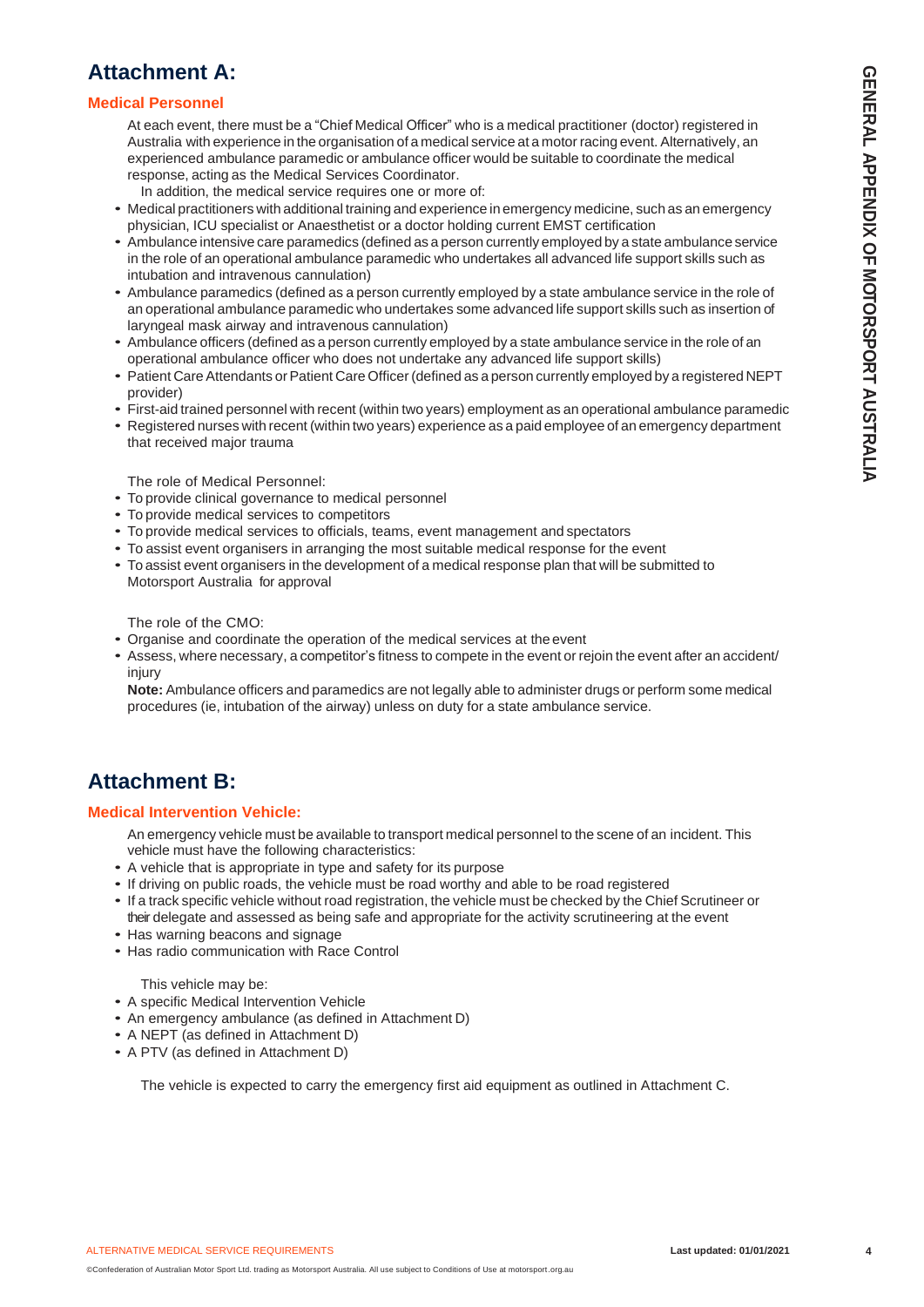# **Attachment A:**

### **Medical Personnel**

At each event, there must be a "Chief Medical Officer" who is a medical practitioner (doctor) registered in Australia with experience in the organisation of a medical service at a motor racing event. Alternatively, an experienced ambulance paramedic or ambulance officer would be suitable to coordinate the medical response, acting as the Medical Services Coordinator.

In addition, the medical service requires one or more of:

- Medical practitioners with additional training and experience in emergency medicine, such as an emergency physician, ICU specialist or Anaesthetist or a doctor holding current EMST certification
- Ambulance intensive care paramedics (defined as a person currently employed by a state ambulance service in the role of an operational ambulance paramedic who undertakes all advanced life support skills such as intubation and intravenous cannulation)
- Ambulance paramedics (defined as a person currently employed by a state ambulance service in the role of an operational ambulance paramedic who undertakes some advanced life support skills such as insertion of laryngeal mask airway and intravenous cannulation)
- Ambulance officers (defined as a person currently employed by a state ambulance service in the role of an operational ambulance officer who does not undertake any advanced life support skills)
- Patient Care Attendants or Patient Care Officer (defined as a person currently employed by a registered NEPT provider)
- First-aid trained personnel with recent (within two years) employment as an operational ambulance paramedic
- Registered nurses with recent (within two years) experience as a paid employee of an emergency department that received major trauma

The role of Medical Personnel:

- To provide clinical governance to medical personnel
- To provide medical services to competitors
- To provide medical services to officials, teams, event management and spectators
- To assist event organisers in arranging the most suitable medical response for the event
- To assist event organisers in the development of a medical response plan that will be submitted to Motorsport Australia for approval

The role of the CMO:

- Organise and coordinate the operation of the medical services at the event
- Assess, where necessary, a competitor's fitness to compete in the event or rejoin the event after an accident/ injury

**Note:** Ambulance officers and paramedics are not legally able to administer drugs or perform some medical procedures (ie, intubation of the airway) unless on duty for a state ambulance service.

# **Attachment B:**

#### **Medical Intervention Vehicle:**

An emergency vehicle must be available to transport medical personnel to the scene of an incident. This vehicle must have the following characteristics:

- A vehicle that is appropriate in type and safety for its purpose
- If driving on public roads, the vehicle must be road worthy and able to be road registered
- If a track specific vehicle without road registration, the vehicle must be checked by the Chief Scrutineer or their delegate and assessed as being safe and appropriate for the activity scrutineering at the event
- Has warning beacons and signage
- Has radio communication with Race Control

This vehicle may be:

- A specific Medical Intervention Vehicle
- An emergency ambulance (as defined in Attachment D)

©Confederation of Australian Motor Sport Ltd. trading as Motorsport Australia. All use subject to Conditions of Use at motorsport.org.au

- A NEPT (as defined in Attachment D)
- A PTV (as defined in Attachment D)

The vehicle is expected to carry the emergency first aid equipment as outlined in Attachment C.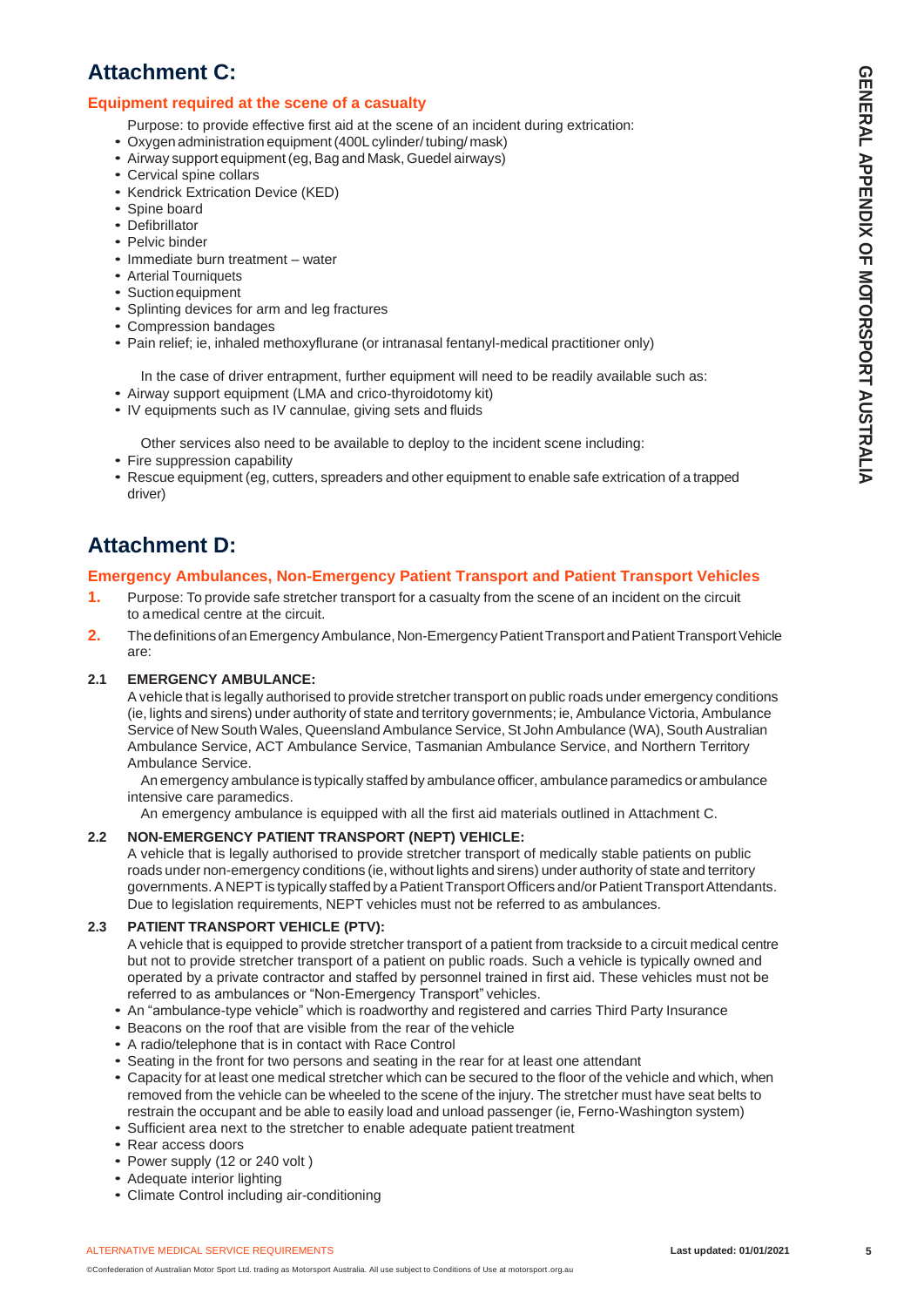# **Attachment C:**

## **Equipment required at the scene of a casualty**

- Purpose: to provide effective first aid at the scene of an incident during extrication:
- Oxygen administration equipment(400L cylinder/ tubing/ mask)
- Airway support equipment (eg, Bag and Mask, Guedel airways)
- Cervical spine collars
- Kendrick Extrication Device (KED)
- Spine board
- Defibrillator
- Pelvic binder
- Immediate burn treatment water
- Arterial Tourniquets
- Suctionequipment
- Splinting devices for arm and leg fractures
- Compression bandages
- Pain relief; ie, inhaled methoxyflurane (or intranasal fentanyl-medical practitioner only)

In the case of driver entrapment, further equipment will need to be readily available such as:

- Airway support equipment (LMA and crico-thyroidotomy kit)
- IV equipments such as IV cannulae, giving sets and fluids

Other services also need to be available to deploy to the incident scene including:

- Fire suppression capability
- Rescue equipment (eg, cutters, spreaders and other equipment to enable safe extrication of a trapped driver)

# **Attachment D:**

### **Emergency Ambulances, Non-Emergency Patient Transport and Patient Transport Vehicles**

- **1.** Purpose: To provide safe stretcher transport for a casualty from the scene of an incident on the circuit to a medical centre at the circuit.
- **2.** The definitions of an Emergency Ambulance, Non-Emergency Patient Transport and Patient Transport Vehicle are:

#### **2.1 EMERGENCY AMBULANCE:**

A vehicle that is legally authorised to provide stretcher transport on public roads under emergency conditions (ie, lights and sirens) under authority of state and territory governments; ie, Ambulance Victoria, Ambulance Service of New South Wales, Queensland Ambulance Service, St John Ambulance (WA), South Australian Ambulance Service, ACT Ambulance Service, Tasmanian Ambulance Service, and Northern Territory Ambulance Service.

An emergency ambulance is typically staffed by ambulance officer, ambulance paramedics orambulance intensive care paramedics.

An emergency ambulance is equipped with all the first aid materials outlined in Attachment C.

#### **2.2 NON-EMERGENCY PATIENT TRANSPORT (NEPT) VEHICLE:**

A vehicle that is legally authorised to provide stretcher transport of medically stable patients on public roads under non-emergency conditions (ie, without lights and sirens) under authority of state and territory governments. A NEPT is typically staffed by a Patient Transport Officers and/or Patient Transport Attendants. Due to legislation requirements, NEPT vehicles must not be referred to as ambulances.

#### **2.3 PATIENT TRANSPORT VEHICLE (PTV):**

A vehicle that is equipped to provide stretcher transport of a patient from trackside to a circuit medical centre but not to provide stretcher transport of a patient on public roads. Such a vehicle is typically owned and operated by a private contractor and staffed by personnel trained in first aid. These vehicles must not be referred to as ambulances or "Non-Emergency Transport" vehicles.

- An "ambulance-type vehicle" which is roadworthy and registered and carries Third Party Insurance
- Beacons on the roof that are visible from the rear of the vehicle
- A radio/telephone that is in contact with Race Control
- Seating in the front for two persons and seating in the rear for at least one attendant
- Capacity for at least one medical stretcher which can be secured to the floor of the vehicle and which, when removed from the vehicle can be wheeled to the scene of the injury. The stretcher must have seat belts to restrain the occupant and be able to easily load and unload passenger (ie, Ferno-Washington system)
- Sufficient area next to the stretcher to enable adequate patient treatment
- Rear access doors
- Power supply (12 or 240 volt )
- Adequate interior lighting
- Climate Control including air-conditioning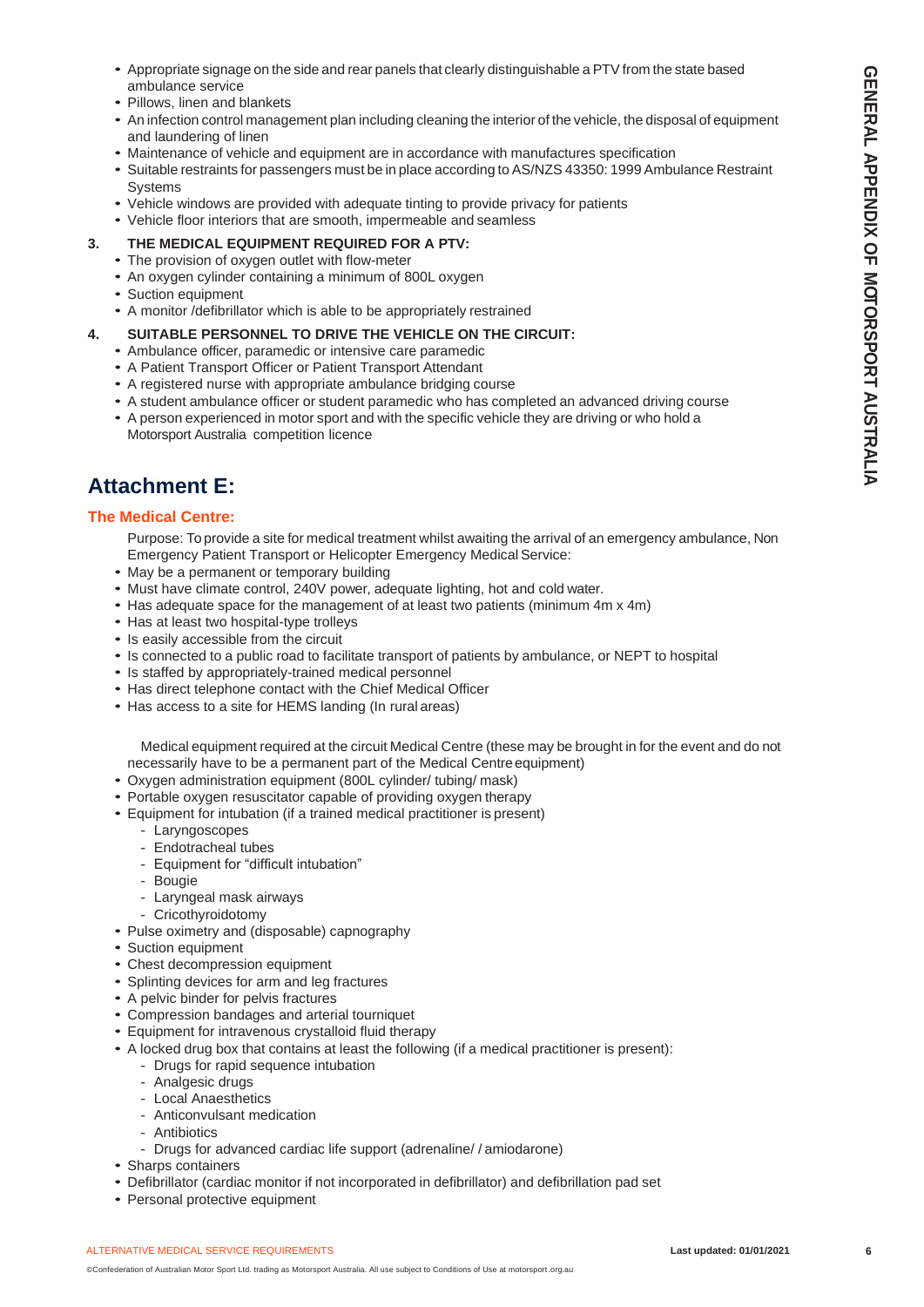- Appropriate signage on the side and rear panels that clearly distinguishable a PTV from the state based ambulance service
- Pillows, linen and blankets
- An infection control management plan including cleaning the interior of the vehicle, the disposal of equipment and laundering of linen
- Maintenance of vehicle and equipment are in accordance with manufactures specification
- Suitable restraints for passengers must be in place according to AS/NZS 43350: 1999 Ambulance Restraint Systems
- Vehicle windows are provided with adequate tinting to provide privacy for patients
- Vehicle floor interiors that are smooth, impermeable and seamless
- **3. THE MEDICAL EQUIPMENT REQUIRED FOR A PTV:**
	- The provision of oxygen outlet with flow-meter
	- An oxygen cylinder containing a minimum of 800L oxygen
	- Suction equipment
	- A monitor /defibrillator which is able to be appropriately restrained

#### **4. SUITABLE PERSONNEL TO DRIVE THE VEHICLE ON THE CIRCUIT:**

- Ambulance officer, paramedic or intensive care paramedic
- A Patient Transport Officer or Patient Transport Attendant
- A registered nurse with appropriate ambulance bridging course
- A student ambulance officer or student paramedic who has completed an advanced driving course
- A person experienced in motor sport and with the specific vehicle they are driving or who hold a Motorsport Australia competition licence

# **Attachment E:**

#### **The Medical Centre:**

Purpose: To provide a site for medical treatment whilst awaiting the arrival of an emergency ambulance, Non Emergency Patient Transport or Helicopter Emergency Medical Service:

- May be a permanent or temporary building
- Must have climate control, 240V power, adequate lighting, hot and cold water.
- Has adequate space for the management of at least two patients (minimum 4m x 4m)
- Has at least two hospital-type trolleys
- Is easily accessible from the circuit
- Is connected to a public road to facilitate transport of patients by ambulance, or NEPT to hospital
- Is staffed by appropriately-trained medical personnel
- Has direct telephone contact with the Chief Medical Officer
- Has access to a site for HEMS landing (In rural areas)

Medical equipment required at the circuit Medical Centre (these may be brought in for the event and do not necessarily have to be a permanent part of the Medical Centreequipment)

- Oxygen administration equipment (800L cylinder/ tubing/ mask)
- Portable oxygen resuscitator capable of providing oxygen therapy
- Equipment for intubation (if a trained medical practitioner is present)
	- Laryngoscopes
	- Endotracheal tubes
	- Equipment for "difficult intubation"
	- Bougie
	- Laryngeal mask airways
	- Cricothyroidotomy
- Pulse oximetry and (disposable) capnography
- Suction equipment
- Chest decompression equipment
- Splinting devices for arm and leg fractures
- A pelvic binder for pelvis fractures
- Compression bandages and arterial tourniquet
- Equipment for intravenous crystalloid fluid therapy
- A locked drug box that contains at least the following (if a medical practitioner is present):
	- Drugs for rapid sequence intubation
	- Analgesic drugs
	- Local Anaesthetics
	- Anticonvulsant medication
	- Antibiotics
	- Drugs for advanced cardiac life support (adrenaline/ / amiodarone)
- Sharps containers
- Defibrillator (cardiac monitor if not incorporated in defibrillator) and defibrillation pad set
- Personal protective equipment